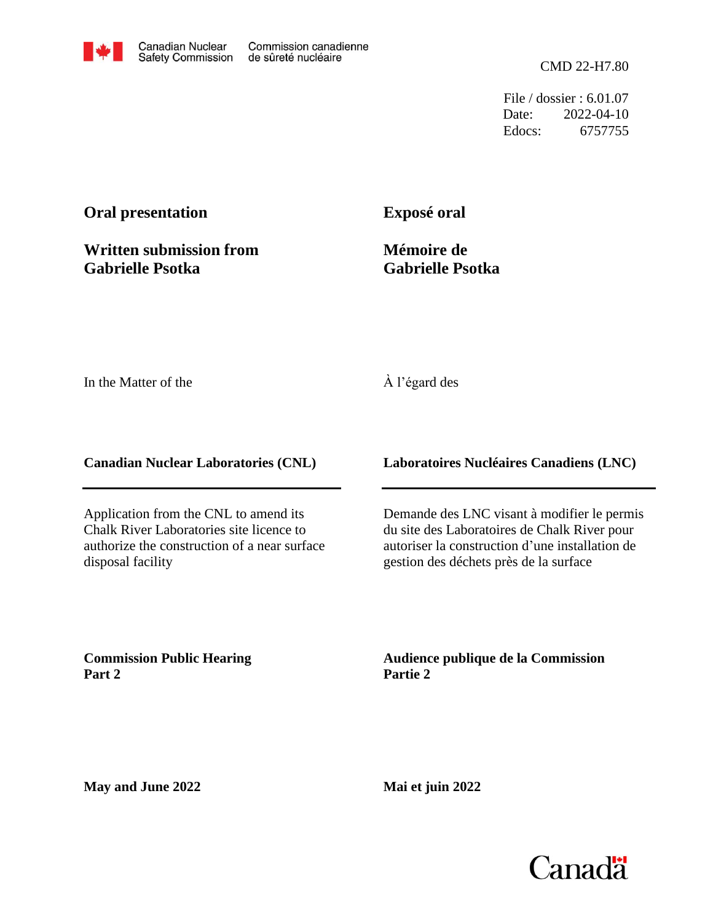

File / dossier : 6.01.07 Date: 2022-04-10 Edocs: 6757755

## **Oral presentation**

**Written submission from Gabrielle Psotka**

**Exposé oral**

**Mémoire de Gabrielle Psotka**

In the Matter of the

## À l'égard des

**Canadian Nuclear Laboratories (CNL)**

Application from the CNL to amend its Chalk River Laboratories site licence to authorize the construction of a near surface disposal facility

**Laboratoires Nucléaires Canadiens (LNC)**

Demande des LNC visant à modifier le permis du site des Laboratoires de Chalk River pour autoriser la construction d'une installation de gestion des déchets près de la surface

**Commission Public Hearing Part 2**

**Audience publique de la Commission Partie 2**

**May and June 2022**

**Mai et juin 2022**